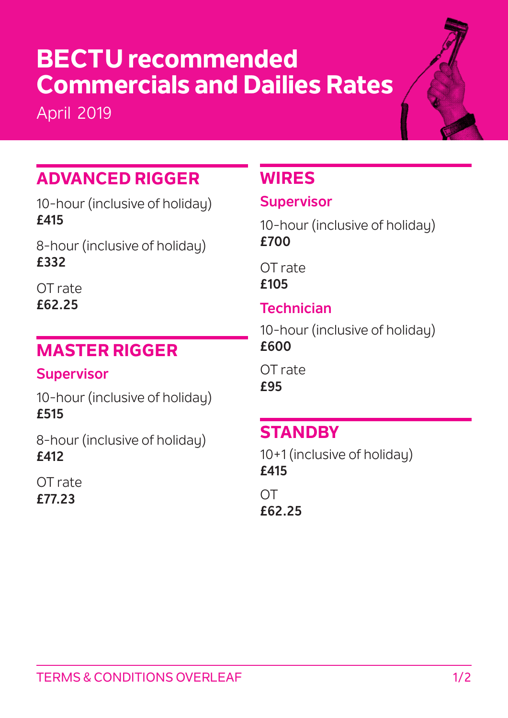# **BECTU recommended Commercials and Dailies Rates**

April 2019



## **ADVANCED RIGGER**

10-hour (inclusive of holiday) **£415**

8-hour (inclusive of holiday) **£332**

OT rate **£62.25**

### **MASTER RIGGER**

### **Supervisor**

10-hour (inclusive of holiday) **£515**

8-hour (inclusive of holiday) **£412**

OT rate **£77.23**

## **WIRES**

### **Supervisor**

10-hour (inclusive of holiday) **£700** 

OT rate **£105**

### **Technician**

10-hour (inclusive of holiday) **£600**

OT rate **£95**

## **STANDBY**

10+1 (inclusive of holiday) **£415**

OT **£62.25**